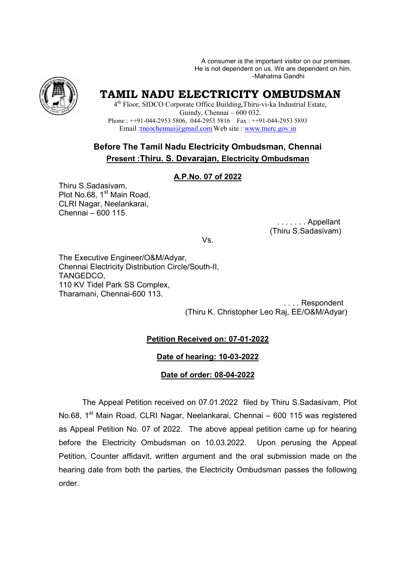A consumer is the important visitor on our premises. He is not dependent on us. We are dependent on him. -Mahatma Gandhi



# **TAMIL NADU ELECTRICITY OMBUDSMAN**

4 th Floor, SIDCO Corporate Office Building,Thiru-vi-ka Industrial Estate, Guindy, Chennai – 600 032. Phone : ++91-044-2953 5806, 044-2953 5816 Fax : ++91-044-2953 5893 Email :tneochennai@gmail.com Web site : www.tnerc.gov.in

## **Before The Tamil Nadu Electricity Ombudsman, Chennai Present :Thiru. S. Devarajan, Electricity Ombudsman**

#### **A.P.No. 07 of 2022**

Thiru S.Sadasivam, Plot No.68, 1<sup>st</sup> Main Road, CLRI Nagar, Neelankarai, Chennai – 600 115.

> . . . . . . . Appellant (Thiru S.Sadasivam)

Vs.

The Executive Engineer/O&M/Adyar, Chennai Electricity Distribution Circle/South-II, TANGEDCO, 110 KV Tidel Park SS Complex, Tharamani, Chennai-600 113.

 . . . . Respondent (Thiru K. Christopher Leo Raj, EE/O&M/Adyar)

### **Petition Received on: 07-01-2022**

#### **Date of hearing: 10-03-2022**

#### **Date of order: 08-04-2022**

The Appeal Petition received on 07.01.2022 filed by Thiru S.Sadasivam, Plot No.68, 1<sup>st</sup> Main Road, CLRI Nagar, Neelankarai, Chennai - 600 115 was registered as Appeal Petition No. 07 of 2022. The above appeal petition came up for hearing before the Electricity Ombudsman on 10.03.2022. Upon perusing the Appeal Petition, Counter affidavit, written argument and the oral submission made on the hearing date from both the parties, the Electricity Ombudsman passes the following order.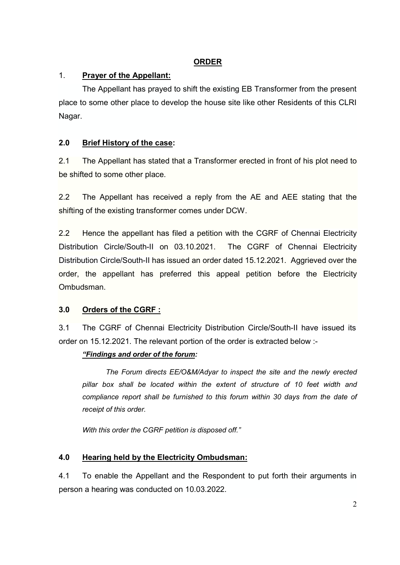### **ORDER**

## 1. **Prayer of the Appellant:**

The Appellant has prayed to shift the existing EB Transformer from the present place to some other place to develop the house site like other Residents of this CLRI Nagar.

### **2.0 Brief History of the case:**

2.1 The Appellant has stated that a Transformer erected in front of his plot need to be shifted to some other place.

2.2 The Appellant has received a reply from the AE and AEE stating that the shifting of the existing transformer comes under DCW.

2.2 Hence the appellant has filed a petition with the CGRF of Chennai Electricity Distribution Circle/South-II on 03.10.2021. The CGRF of Chennai Electricity Distribution Circle/South-II has issued an order dated 15.12.2021. Aggrieved over the order, the appellant has preferred this appeal petition before the Electricity Ombudsman.

## **3.0 Orders of the CGRF :**

3.1 The CGRF of Chennai Electricity Distribution Circle/South-II have issued its order on 15.12.2021. The relevant portion of the order is extracted below :-

### *"Findings and order of the forum:*

*The Forum directs EE/O&M/Adyar to inspect the site and the newly erected pillar box shall be located within the extent of structure of 10 feet width and compliance report shall be furnished to this forum within 30 days from the date of receipt of this order.* 

*With this order the CGRF petition is disposed off."*

## **4.0 Hearing held by the Electricity Ombudsman:**

4.1 To enable the Appellant and the Respondent to put forth their arguments in person a hearing was conducted on 10.03.2022.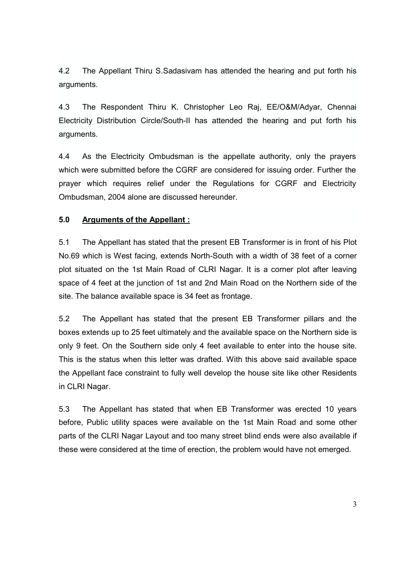4.2 The Appellant Thiru S.Sadasivam has attended the hearing and put forth his arguments.

4.3 The Respondent Thiru K. Christopher Leo Raj, EE/O&M/Adyar, Chennai Electricity Distribution Circle/South-II has attended the hearing and put forth his arguments.

4.4 As the Electricity Ombudsman is the appellate authority, only the prayers which were submitted before the CGRF are considered for issuing order. Further the prayer which requires relief under the Regulations for CGRF and Electricity Ombudsman, 2004 alone are discussed hereunder.

#### **5.0 Arguments of the Appellant :**

5.1 The Appellant has stated that the present EB Transformer is in front of his Plot No.69 which is West facing, extends North-South with a width of 38 feet of a corner plot situated on the 1st Main Road of CLRI Nagar. It is a corner plot after leaving space of 4 feet at the junction of 1st and 2nd Main Road on the Northern side of the site. The balance available space is 34 feet as frontage.

5.2 The Appellant has stated that the present EB Transformer pillars and the boxes extends up to 25 feet ultimately and the available space on the Northern side is only 9 feet. On the Southern side only 4 feet available to enter into the house site. This is the status when this letter was drafted. With this above said available space the Appellant face constraint to fully well develop the house site like other Residents in CLRI Nagar.

5.3 The Appellant has stated that when EB Transformer was erected 10 years before, Public utility spaces were available on the 1st Main Road and some other parts of the CLRI Nagar Layout and too many street blind ends were also available if these were considered at the time of erection, the problem would have not emerged.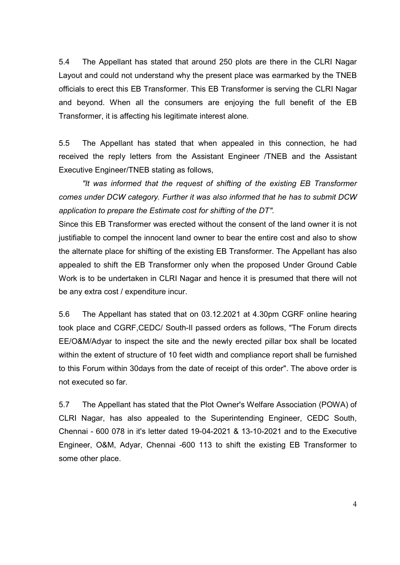5.4 The Appellant has stated that around 250 plots are there in the CLRI Nagar Layout and could not understand why the present place was earmarked by the TNEB officials to erect this EB Transformer. This EB Transformer is serving the CLRI Nagar and beyond. When all the consumers are enjoying the full benefit of the EB Transformer, it is affecting his legitimate interest alone.

5.5 The Appellant has stated that when appealed in this connection, he had received the reply letters from the Assistant Engineer /TNEB and the Assistant Executive Engineer/TNEB stating as follows,

*"It was informed that the request of shifting of the existing EB Transformer comes under DCW category. Further it was also informed that he has to submit DCW application to prepare the Estimate cost for shifting of the DT".* 

Since this EB Transformer was erected without the consent of the land owner it is not justifiable to compel the innocent land owner to bear the entire cost and also to show the alternate place for shifting of the existing EB Transformer. The Appellant has also appealed to shift the EB Transformer only when the proposed Under Ground Cable Work is to be undertaken in CLRI Nagar and hence it is presumed that there will not be any extra cost / expenditure incur.

5.6 The Appellant has stated that on 03.12.2021 at 4.30pm CGRF online hearing took place and CGRF,CEDC/ South-Il passed orders as follows, "The Forum directs EE/O&M/Adyar to inspect the site and the newly erected pillar box shall be located within the extent of structure of 10 feet width and compliance report shall be furnished to this Forum within 30days from the date of receipt of this order". The above order is not executed so far.

5.7 The Appellant has stated that the Plot Owner's Welfare Association (POWA) of CLRI Nagar, has also appealed to the Superintending Engineer, CEDC South, Chennai - 600 078 in it's letter dated 19-04-2021 & 13-10-2021 and to the Executive Engineer, O&M, Adyar, Chennai -600 113 to shift the existing EB Transformer to some other place.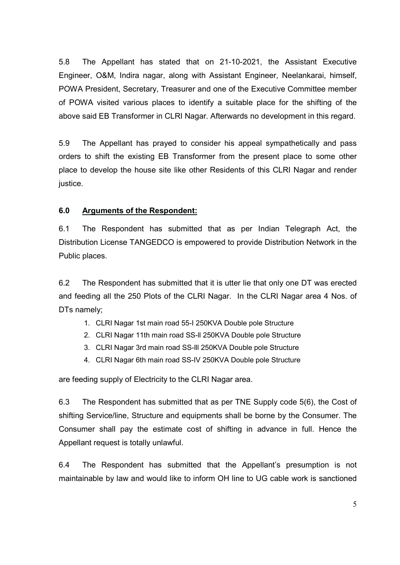5.8 The Appellant has stated that on 21-10-2021, the Assistant Executive Engineer, O&M, Indira nagar, along with Assistant Engineer, Neelankarai, himself, POWA President, Secretary, Treasurer and one of the Executive Committee member of POWA visited various places to identify a suitable place for the shifting of the above said EB Transformer in CLRI Nagar. Afterwards no development in this regard.

5.9 The Appellant has prayed to consider his appeal sympathetically and pass orders to shift the existing EB Transformer from the present place to some other place to develop the house site like other Residents of this CLRI Nagar and render justice.

#### **6.0 Arguments of the Respondent:**

6.1 The Respondent has submitted that as per Indian Telegraph Act, the Distribution License TANGEDCO is empowered to provide Distribution Network in the Public places.

6.2 The Respondent has submitted that it is utter lie that only one DT was erected and feeding all the 250 Plots of the CLRI Nagar. In the CLRI Nagar area 4 Nos. of DTs namely;

- 1. CLRI Nagar 1st main road 55-I 250KVA Double pole Structure
- 2. CLRI Nagar 11th main road SS-ll 250KVA Double pole Structure
- 3. CLRI Nagar 3rd main road SS-lll 250KVA Double pole Structure
- 4. CLRI Nagar 6th main road SS-IV 250KVA Double pole Structure

are feeding supply of Electricity to the CLRI Nagar area.

6.3 The Respondent has submitted that as per TNE Supply code 5(6), the Cost of shifting Service/line, Structure and equipments shall be borne by the Consumer. The Consumer shall pay the estimate cost of shifting in advance in full. Hence the Appellant request is totally unlawful.

6.4 The Respondent has submitted that the Appellant's presumption is not maintainable by law and would like to inform OH line to UG cable work is sanctioned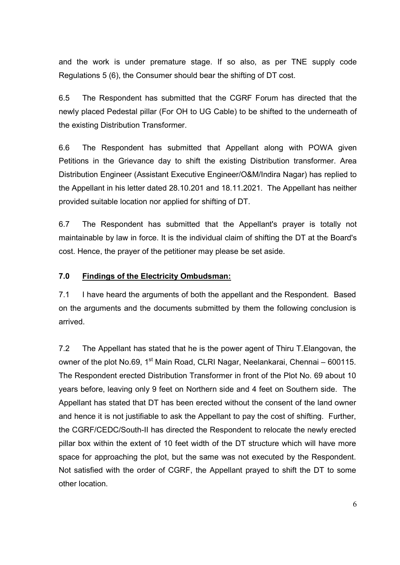and the work is under premature stage. If so also, as per TNE supply code Regulations 5 (6), the Consumer should bear the shifting of DT cost.

6.5 The Respondent has submitted that the CGRF Forum has directed that the newly placed Pedestal pillar (For OH to UG Cable) to be shifted to the underneath of the existing Distribution Transformer.

6.6 The Respondent has submitted that Appellant along with POWA given Petitions in the Grievance day to shift the existing Distribution transformer. Area Distribution Engineer (Assistant Executive Engineer/O&M/Indira Nagar) has replied to the Appellant in his letter dated 28.10.201 and 18.11.2021. The Appellant has neither provided suitable location nor applied for shifting of DT.

6.7 The Respondent has submitted that the Appellant's prayer is totally not maintainable by law in force. It is the individual claim of shifting the DT at the Board's cost. Hence, the prayer of the petitioner may please be set aside.

#### **7.0 Findings of the Electricity Ombudsman:**

7.1 I have heard the arguments of both the appellant and the Respondent. Based on the arguments and the documents submitted by them the following conclusion is arrived.

7.2 The Appellant has stated that he is the power agent of Thiru T.Elangovan, the owner of the plot No.69, 1<sup>st</sup> Main Road, CLRI Nagar, Neelankarai, Chennai – 600115. The Respondent erected Distribution Transformer in front of the Plot No. 69 about 10 years before, leaving only 9 feet on Northern side and 4 feet on Southern side. The Appellant has stated that DT has been erected without the consent of the land owner and hence it is not justifiable to ask the Appellant to pay the cost of shifting. Further, the CGRF/CEDC/South-II has directed the Respondent to relocate the newly erected pillar box within the extent of 10 feet width of the DT structure which will have more space for approaching the plot, but the same was not executed by the Respondent. Not satisfied with the order of CGRF, the Appellant prayed to shift the DT to some other location.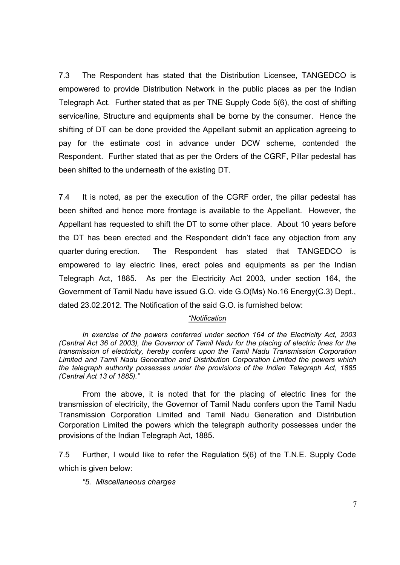7.3 The Respondent has stated that the Distribution Licensee, TANGEDCO is empowered to provide Distribution Network in the public places as per the Indian Telegraph Act. Further stated that as per TNE Supply Code 5(6), the cost of shifting service/line, Structure and equipments shall be borne by the consumer. Hence the shifting of DT can be done provided the Appellant submit an application agreeing to pay for the estimate cost in advance under DCW scheme, contended the Respondent. Further stated that as per the Orders of the CGRF, Pillar pedestal has been shifted to the underneath of the existing DT.

7.4 It is noted, as per the execution of the CGRF order, the pillar pedestal has been shifted and hence more frontage is available to the Appellant. However, the Appellant has requested to shift the DT to some other place. About 10 years before the DT has been erected and the Respondent didn't face any objection from any quarter during erection. The Respondent has stated that TANGEDCO is empowered to lay electric lines, erect poles and equipments as per the Indian Telegraph Act, 1885. As per the Electricity Act 2003, under section 164, the Government of Tamil Nadu have issued G.O. vide G.O(Ms) No.16 Energy(C.3) Dept., dated 23.02.2012. The Notification of the said G.O. is furnished below:

#### *"Notification*

*In exercise of the powers conferred under section 164 of the Electricity Act, 2003 (Central Act 36 of 2003), the Governor of Tamil Nadu for the placing of electric lines for the transmission of electricity, hereby confers upon the Tamil Nadu Transmission Corporation Limited and Tamil Nadu Generation and Distribution Corporation Limited the powers which the telegraph authority possesses under the provisions of the Indian Telegraph Act, 1885 (Central Act 13 of 1885)."* 

From the above, it is noted that for the placing of electric lines for the transmission of electricity, the Governor of Tamil Nadu confers upon the Tamil Nadu Transmission Corporation Limited and Tamil Nadu Generation and Distribution Corporation Limited the powers which the telegraph authority possesses under the provisions of the Indian Telegraph Act, 1885.

7.5 Further, I would like to refer the Regulation 5(6) of the T.N.E. Supply Code which is given below:

*"5. Miscellaneous charges*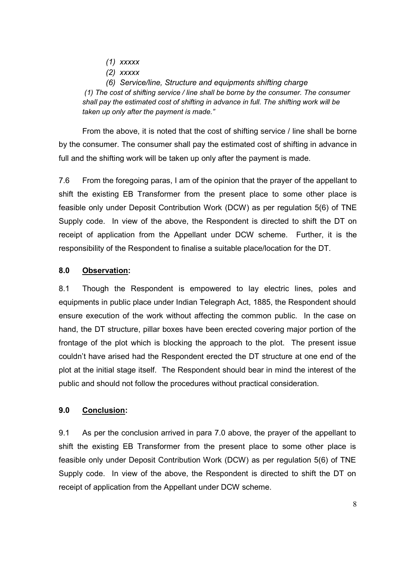- *(1) xxxxx*
- *(2) xxxxx*

 *(6) Service/line, Structure and equipments shifting charge (1) The cost of shifting service / line shall be borne by the consumer. The consumer shall pay the estimated cost of shifting in advance in full. The shifting work will be taken up only after the payment is made."*

 From the above, it is noted that the cost of shifting service / line shall be borne by the consumer. The consumer shall pay the estimated cost of shifting in advance in full and the shifting work will be taken up only after the payment is made.

7.6 From the foregoing paras, I am of the opinion that the prayer of the appellant to shift the existing EB Transformer from the present place to some other place is feasible only under Deposit Contribution Work (DCW) as per regulation 5(6) of TNE Supply code. In view of the above, the Respondent is directed to shift the DT on receipt of application from the Appellant under DCW scheme. Further, it is the responsibility of the Respondent to finalise a suitable place/location for the DT.

#### **8.0 Observation:**

8.1 Though the Respondent is empowered to lay electric lines, poles and equipments in public place under Indian Telegraph Act, 1885, the Respondent should ensure execution of the work without affecting the common public. In the case on hand, the DT structure, pillar boxes have been erected covering major portion of the frontage of the plot which is blocking the approach to the plot. The present issue couldn't have arised had the Respondent erected the DT structure at one end of the plot at the initial stage itself. The Respondent should bear in mind the interest of the public and should not follow the procedures without practical consideration.

#### **9.0 Conclusion:**

9.1 As per the conclusion arrived in para 7.0 above, the prayer of the appellant to shift the existing EB Transformer from the present place to some other place is feasible only under Deposit Contribution Work (DCW) as per regulation 5(6) of TNE Supply code. In view of the above, the Respondent is directed to shift the DT on receipt of application from the Appellant under DCW scheme.